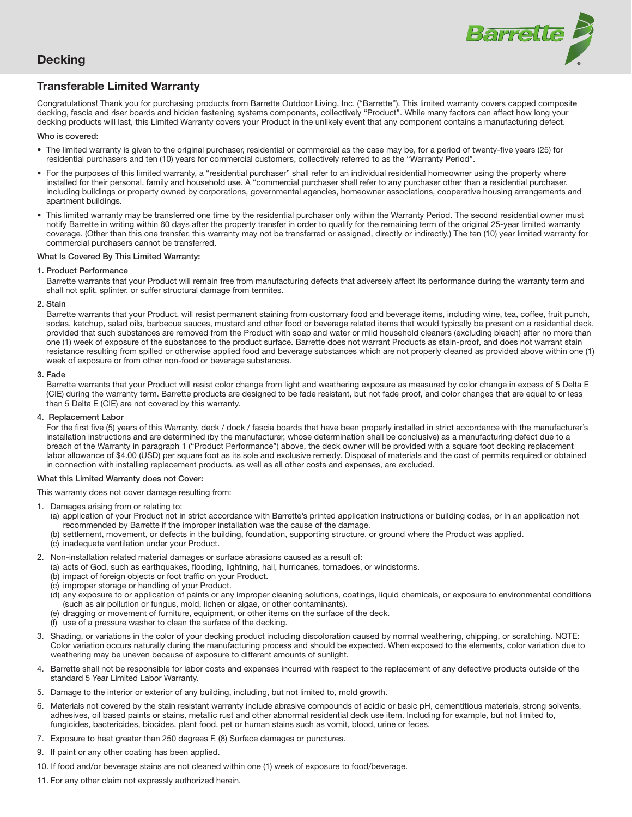

# **Decking**

# Transferable Limited Warranty

Congratulations! Thank you for purchasing products from Barrette Outdoor Living, Inc. ("Barrette"). This limited warranty covers capped composite decking, fascia and riser boards and hidden fastening systems components, collectively "Product". While many factors can affect how long your decking products will last, this Limited Warranty covers your Product in the unlikely event that any component contains a manufacturing defect.

# Who is covered:

- The limited warranty is given to the original purchaser, residential or commercial as the case may be, for a period of twenty-five years (25) for residential purchasers and ten (10) years for commercial customers, collectively referred to as the "Warranty Period".
- For the purposes of this limited warranty, a "residential purchaser" shall refer to an individual residential homeowner using the property where installed for their personal, family and household use. A "commercial purchaser shall refer to any purchaser other than a residential purchaser, including buildings or property owned by corporations, governmental agencies, homeowner associations, cooperative housing arrangements and apartment buildings.
- This limited warranty may be transferred one time by the residential purchaser only within the Warranty Period. The second residential owner must notify Barrette in writing within 60 days after the property transfer in order to qualify for the remaining term of the original 25-year limited warranty coverage. (Other than this one transfer, this warranty may not be transferred or assigned, directly or indirectly.) The ten (10) year limited warranty for commercial purchasers cannot be transferred.

# What Is Covered By This Limited Warranty:

1. Product Performance

 Barrette warrants that your Product will remain free from manufacturing defects that adversely affect its performance during the warranty term and shall not split, splinter, or suffer structural damage from termites.

# 2. Stain

 Barrette warrants that your Product, will resist permanent staining from customary food and beverage items, including wine, tea, coffee, fruit punch, sodas, ketchup, salad oils, barbecue sauces, mustard and other food or beverage related items that would typically be present on a residential deck, provided that such substances are removed from the Product with soap and water or mild household cleaners (excluding bleach) after no more than one (1) week of exposure of the substances to the product surface. Barrette does not warrant Products as stain-proof, and does not warrant stain resistance resulting from spilled or otherwise applied food and beverage substances which are not properly cleaned as provided above within one (1) week of exposure or from other non-food or beverage substances.

# 3. Fade

 Barrette warrants that your Product will resist color change from light and weathering exposure as measured by color change in excess of 5 Delta E (CIE) during the warranty term. Barrette products are designed to be fade resistant, but not fade proof, and color changes that are equal to or less than 5 Delta E (CIE) are not covered by this warranty.

#### 4. Replacement Labor

For the first five (5) years of this Warranty, deck / dock / fascia boards that have been properly installed in strict accordance with the manufacturer's installation instructions and are determined (by the manufacturer, whose determination shall be conclusive) as a manufacturing defect due to a breach of the Warranty in paragraph 1 ("Product Performance") above, the deck owner will be provided with a square foot decking replacement labor allowance of \$4.00 (USD) per square foot as its sole and exclusive remedy. Disposal of materials and the cost of permits required or obtained in connection with installing replacement products, as well as all other costs and expenses, are excluded.

# What this Limited Warranty does not Cover:

This warranty does not cover damage resulting from:

- 1. Damages arising from or relating to:
	- (a) application of your Product not in strict accordance with Barrette's printed application instructions or building codes, or in an application not recommended by Barrette if the improper installation was the cause of the damage.
	- (b) settlement, movement, or defects in the building, foundation, supporting structure, or ground where the Product was applied.
	- (c) inadequate ventilation under your Product.
- 2. Non-installation related material damages or surface abrasions caused as a result of:
	- (a) acts of God, such as earthquakes, flooding, lightning, hail, hurricanes, tornadoes, or windstorms.
	- (b) impact of foreign objects or foot traffic on your Product.
	- (c) improper storage or handling of your Product.
	- (d) any exposure to or application of paints or any improper cleaning solutions, coatings, liquid chemicals, or exposure to environmental conditions (such as air pollution or fungus, mold, lichen or algae, or other contaminants).
	- (e) dragging or movement of furniture, equipment, or other items on the surface of the deck.
	- (f) use of a pressure washer to clean the surface of the decking.
- 3. Shading, or variations in the color of your decking product including discoloration caused by normal weathering, chipping, or scratching. NOTE: Color variation occurs naturally during the manufacturing process and should be expected. When exposed to the elements, color variation due to weathering may be uneven because of exposure to different amounts of sunlight.
- 4. Barrette shall not be responsible for labor costs and expenses incurred with respect to the replacement of any defective products outside of the standard 5 Year Limited Labor Warranty.
- 5. Damage to the interior or exterior of any building, including, but not limited to, mold growth.
- 6. Materials not covered by the stain resistant warranty include abrasive compounds of acidic or basic pH, cementitious materials, strong solvents, adhesives, oil based paints or stains, metallic rust and other abnormal residential deck use item. Including for example, but not limited to, fungicides, bactericides, biocides, plant food, pet or human stains such as vomit, blood, urine or feces.
- 7. Exposure to heat greater than 250 degrees F. (8) Surface damages or punctures.
- 9. If paint or any other coating has been applied.
- 10. If food and/or beverage stains are not cleaned within one (1) week of exposure to food/beverage.
- 11. For any other claim not expressly authorized herein.